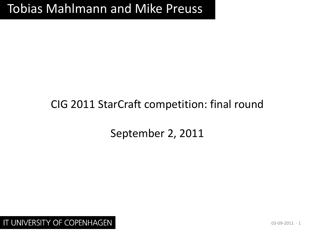# Tobias Mahlmann and Mike Preuss

## CIG 2011 StarCraft competition: final round

## September 2, 2011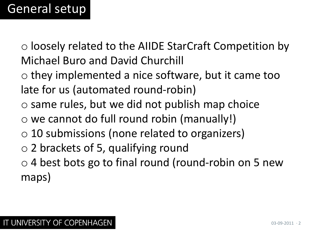o loosely related to the AIIDE StarCraft Competition by Michael Buro and David Churchill

- o they implemented a nice software, but it came too late for us (automated round-robin)
- o same rules, but we did not publish map choice
- o we cannot do full round robin (manually!)
- $\circ$  10 submissions (none related to organizers)
- o 2 brackets of 5, qualifying round
- $\circ$  4 best bots go to final round (round-robin on 5 new maps)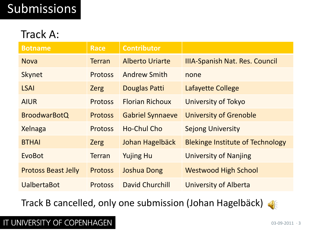# Submissions

#### Track A:

| <b>Botname</b>             | <b>Race</b>    | <b>Contributor</b>      |                                         |
|----------------------------|----------------|-------------------------|-----------------------------------------|
| <b>Nova</b>                | <b>Terran</b>  | <b>Alberto Uriarte</b>  | <b>IIIA-Spanish Nat. Res. Council</b>   |
| <b>Skynet</b>              | <b>Protoss</b> | <b>Andrew Smith</b>     | none                                    |
| <b>LSAI</b>                | <b>Zerg</b>    | Douglas Patti           | Lafayette College                       |
| <b>AIUR</b>                | <b>Protoss</b> | <b>Florian Richoux</b>  | University of Tokyo                     |
| <b>BroodwarBotQ</b>        | <b>Protoss</b> | <b>Gabriel Synnaeve</b> | <b>University of Grenoble</b>           |
| Xelnaga                    | <b>Protoss</b> | Ho-Chul Cho             | <b>Sejong University</b>                |
| <b>BTHAI</b>               | <b>Zerg</b>    | Johan Hagelbäck         | <b>Blekinge Institute of Technology</b> |
| EvoBot                     | <b>Terran</b>  | <b>Yujing Hu</b>        | University of Nanjing                   |
| <b>Protoss Beast Jelly</b> | <b>Protoss</b> | <b>Joshua Dong</b>      | <b>Westwood High School</b>             |
| <b>UalbertaBot</b>         | <b>Protoss</b> | David Churchill         | <b>University of Alberta</b>            |

Track B cancelled, only one submission (Johan Hagelbäck)

#### $\left( \left\| \cdot \right\| \right)$

#### IT UNIVERSITY OF COPENHAGEN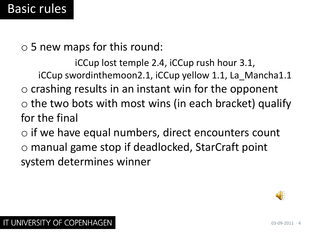o 5 new maps for this round:

iCCup lost temple 2.4, iCCup rush hour 3.1, iCCup swordinthemoon2.1, iCCup yellow 1.1, La\_Mancha1.1  $\circ$  crashing results in an instant win for the opponent  $\circ$  the two bots with most wins (in each bracket) qualify for the final

o if we have equal numbers, direct encounters count o manual game stop if deadlocked, StarCraft point system determines winner

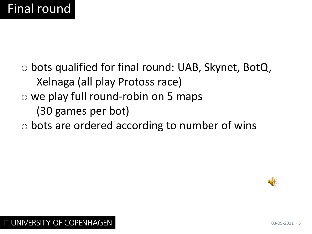o bots qualified for final round: UAB, Skynet, BotQ, Xelnaga (all play Protoss race) o we play full round-robin on 5 maps (30 games per bot)

#### o bots are ordered according to number of wins

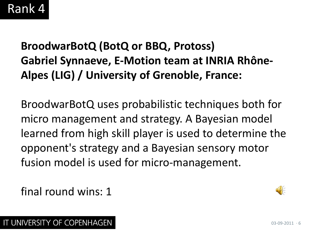## **BroodwarBotQ (BotQ or BBQ, Protoss) Gabriel Synnaeve, E-Motion team at INRIA Rhône-Alpes (LIG) / University of Grenoble, France:**

BroodwarBotQ uses probabilistic techniques both for micro management and strategy. A Bayesian model learned from high skill player is used to determine the opponent's strategy and a Bayesian sensory motor fusion model is used for micro-management.

final round wins: 1

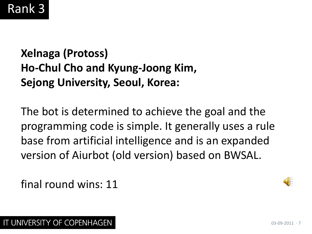# Rank 3

## **Xelnaga (Protoss) Ho-Chul Cho and Kyung-Joong Kim, Sejong University, Seoul, Korea:**

The bot is determined to achieve the goal and the programming code is simple. It generally uses a rule base from artificial intelligence and is an expanded version of Aiurbot (old version) based on BWSAL.

final round wins: 11

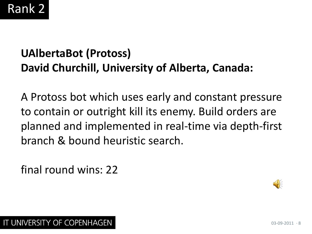# Rank 2

## **UAlbertaBot (Protoss) David Churchill, University of Alberta, Canada:**

A Protoss bot which uses early and constant pressure to contain or outright kill its enemy. Build orders are planned and implemented in real-time via depth-first branch & bound heuristic search.

final round wins: 22

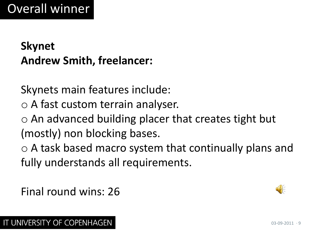## **Skynet Andrew Smith, freelancer:**

Skynets main features include:

- o A fast custom terrain analyser.
- $\circ$  An advanced building placer that creates tight but (mostly) non blocking bases.

o A task based macro system that continually plans and fully understands all requirements.

Final round wins: 26

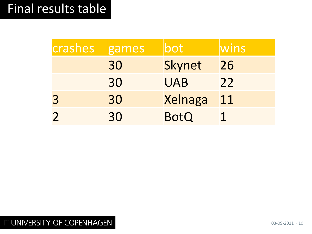# Final results table

| crashes | games | oot           | wins |
|---------|-------|---------------|------|
|         | 30    | <b>Skynet</b> | 26   |
|         | 30    | <b>UAB</b>    | 22   |
| 3       | 30    | Xelnaga       | 11   |
|         | 30    | <b>BotQ</b>   |      |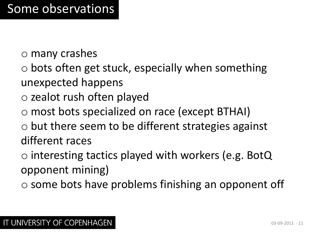- o many crashes
- $\circ$  bots often get stuck, especially when something unexpected happens
- o zealot rush often played
- o most bots specialized on race (except BTHAI)
- $\circ$  but there seem to be different strategies against different races
- o interesting tactics played with workers (e.g. BotQ opponent mining)
- o some bots have problems finishing an opponent off